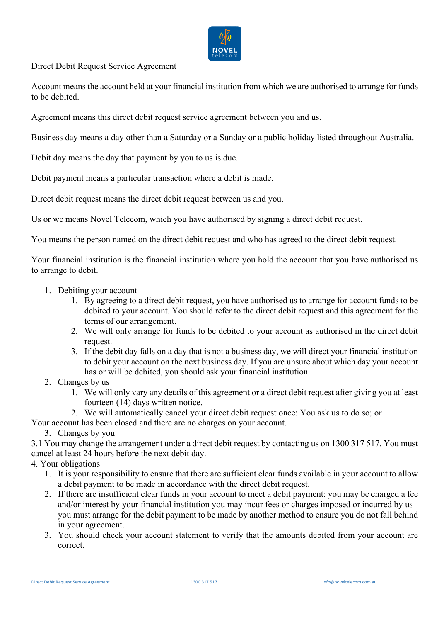

Direct Debit Request Service Agreement

Account means the account held at your financial institution from which we are authorised to arrange for funds to be debited.

Agreement means this direct debit request service agreement between you and us.

Business day means a day other than a Saturday or a Sunday or a public holiday listed throughout Australia.

Debit day means the day that payment by you to us is due.

Debit payment means a particular transaction where a debit is made.

Direct debit request means the direct debit request between us and you.

Us or we means Novel Telecom, which you have authorised by signing a direct debit request.

You means the person named on the direct debit request and who has agreed to the direct debit request.

Your financial institution is the financial institution where you hold the account that you have authorised us to arrange to debit.

- 1. Debiting your account
	- 1. By agreeing to a direct debit request, you have authorised us to arrange for account funds to be debited to your account. You should refer to the direct debit request and this agreement for the terms of our arrangement.
	- 2. We will only arrange for funds to be debited to your account as authorised in the direct debit request.
	- 3. If the debit day falls on a day that is not a business day, we will direct your financial institution to debit your account on the next business day. If you are unsure about which day your account has or will be debited, you should ask your financial institution.
- 2. Changes by us
	- 1. We will only vary any details of this agreement or a direct debit request after giving you at least fourteen (14) days written notice.
	- 2. We will automatically cancel your direct debit request once: You ask us to do so; or

Your account has been closed and there are no charges on your account.

3. Changes by you

3.1 You may change the arrangement under a direct debit request by contacting us on 1300 317 517. You must cancel at least 24 hours before the next debit day.

4. Your obligations

- 1. It is your responsibility to ensure that there are sufficient clear funds available in your account to allow a debit payment to be made in accordance with the direct debit request.
- 2. If there are insufficient clear funds in your account to meet a debit payment: you may be charged a fee and/or interest by your financial institution you may incur fees or charges imposed or incurred by us you must arrange for the debit payment to be made by another method to ensure you do not fall behind in your agreement.
- 3. You should check your account statement to verify that the amounts debited from your account are correct.